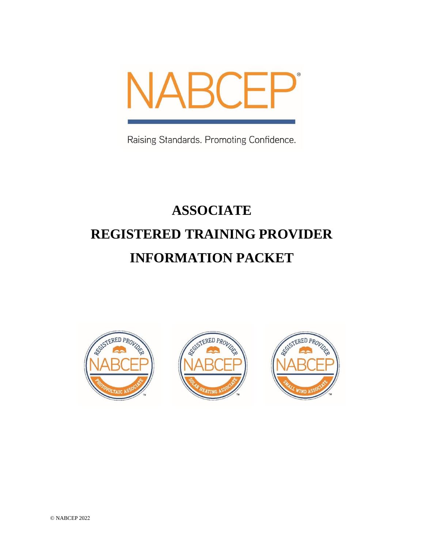

Raising Standards. Promoting Confidence.

# **ASSOCIATE REGISTERED TRAINING PROVIDER INFORMATION PACKET**





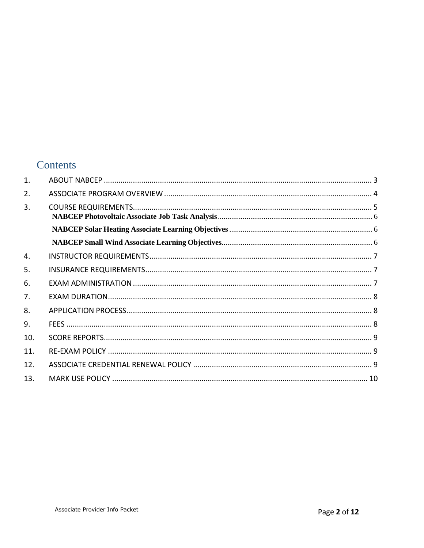### Contents

| $\mathbf{1}$ . |  |
|----------------|--|
| 2.             |  |
| 3.             |  |
|                |  |
|                |  |
| 4.             |  |
| 5.             |  |
| 6.             |  |
| 7.             |  |
| 8.             |  |
| 9.             |  |
| 10.            |  |
| 11.            |  |
| 12.            |  |
| 13.            |  |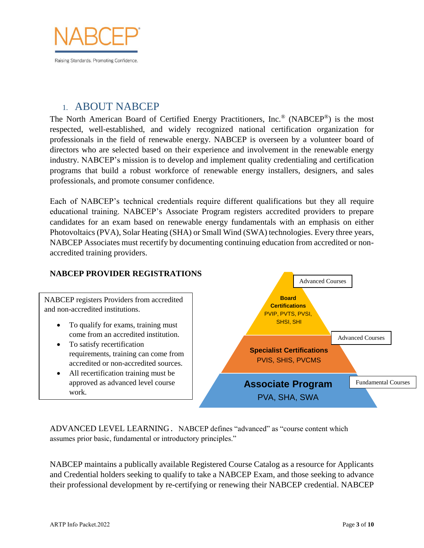

#### <span id="page-2-0"></span>1. ABOUT NABCEP

The North American Board of Certified Energy Practitioners, Inc.® (NABCEP®) is the most respected, well-established, and widely recognized national certification organization for professionals in the field of renewable energy. NABCEP is overseen by a volunteer board of directors who are selected based on their experience and involvement in the renewable energy industry. NABCEP's mission is to develop and implement quality credentialing and certification programs that build a robust workforce of renewable energy installers, designers, and sales professionals, and promote consumer confidence.

Each of NABCEP's technical credentials require different qualifications but they all require educational training. NABCEP's Associate Program registers accredited providers to prepare candidates for an exam based on renewable energy fundamentals with an emphasis on either Photovoltaics (PVA), Solar Heating (SHA) or Small Wind (SWA) technologies. Every three years, NABCEP Associates must recertify by documenting continuing education from accredited or nonaccredited training providers.

#### **NABCEP PROVIDER REGISTRATIONS**

NABCEP registers Providers from accredited and non-accredited institutions.

- To qualify for exams, training must come from an accredited institution.
- To satisfy recertification requirements, training can come from accredited or non-accredited sources.
- All recertification training must be approved as advanced level course work.



ADVANCED LEVEL LEARNING. NABCEP defines "advanced" as "course content which assumes prior basic, fundamental or introductory principles."

NABCEP maintains a publically available Registered Course Catalog as a resource for Applicants and Credential holders seeking to qualify to take a NABCEP Exam, and those seeking to advance their professional development by re-certifying or renewing their NABCEP credential. NABCEP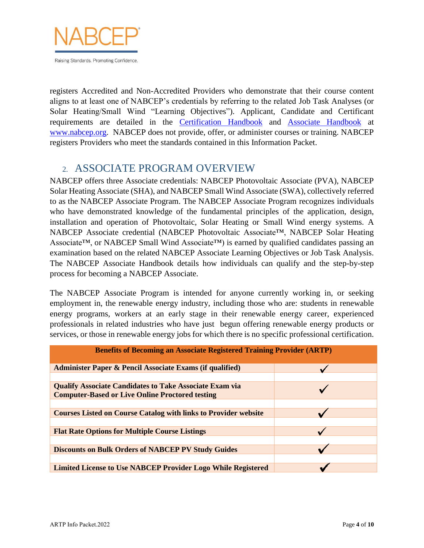

Raising Standards. Promoting Confidence.

registers Accredited and Non-Accredited Providers who demonstrate that their course content aligns to at least one of NABCEP's credentials by referring to the related Job Task Analyses (or Solar Heating/Small Wind "Learning Objectives"). Applicant, Candidate and Certificant requirements are detailed in the [Certification Handbook](https://www.nabcep.org/resources/?fwp_resource_facet=handbooks) and [Associate Handbook](https://www.nabcep.org/resources/?fwp_resource_facet=handbooks) at [www.nabcep.org.](http://www.nabcep.org/) NABCEP does not provide, offer, or administer courses or training. NABCEP registers Providers who meet the standards contained in this Information Packet.

## <span id="page-3-0"></span>2. ASSOCIATE PROGRAM OVERVIEW

NABCEP offers three Associate credentials: NABCEP Photovoltaic Associate (PVA), NABCEP Solar Heating Associate (SHA), and NABCEP Small Wind Associate (SWA), collectively referred to as the NABCEP Associate Program. The NABCEP Associate Program recognizes individuals who have demonstrated knowledge of the fundamental principles of the application, design, installation and operation of Photovoltaic, Solar Heating or Small Wind energy systems. A NABCEP Associate credential (NABCEP Photovoltaic Associate™, NABCEP Solar Heating Associate™, or NABCEP Small Wind Associate™) is earned by qualified candidates passing an examination based on the related NABCEP Associate Learning Objectives or Job Task Analysis. The NABCEP Associate Handbook details how individuals can qualify and the step-by-step process for becoming a NABCEP Associate.

The NABCEP Associate Program is intended for anyone currently working in, or seeking employment in, the renewable energy industry, including those who are: students in renewable energy programs, workers at an early stage in their renewable energy career, experienced professionals in related industries who have just begun offering renewable energy products or services, or those in renewable energy jobs for which there is no specific professional certification.

| <b>Benefits of Becoming an Associate Registered Training Provider (ARTP)</b> |  |  |  |
|------------------------------------------------------------------------------|--|--|--|
| <b>Administer Paper &amp; Pencil Associate Exams (if qualified)</b>          |  |  |  |
| <b>Qualify Associate Candidates to Take Associate Exam via</b>               |  |  |  |
| <b>Computer-Based or Live Online Proctored testing</b>                       |  |  |  |
|                                                                              |  |  |  |
| <b>Courses Listed on Course Catalog with links to Provider website</b>       |  |  |  |
| <b>Flat Rate Options for Multiple Course Listings</b>                        |  |  |  |
|                                                                              |  |  |  |
| <b>Discounts on Bulk Orders of NABCEP PV Study Guides</b>                    |  |  |  |
| <b>Limited License to Use NABCEP Provider Logo While Registered</b>          |  |  |  |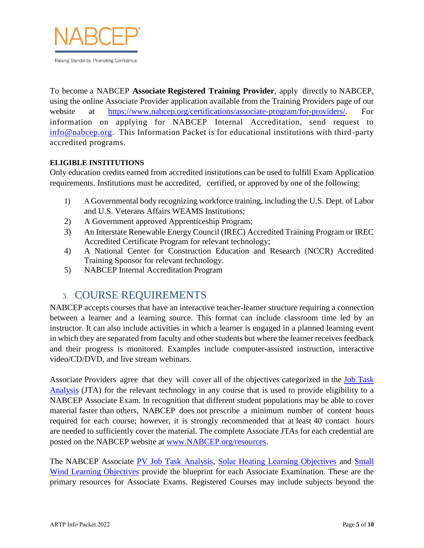

To become a NABCEP **Associate Registered Training Provider**, apply directly to NABCEP, using the online Associate Provider application available from the Training Providers page of our website at [https://www.nabcep.org/certifications/associate-program/for-providers/.](https://www.nabcep.org/certifications/associate-program/for-providers/) information on applying for NABCEP Internal Accreditation, send request to [info@nabcep.org.](mailto:info@nabcep.org) This Information Packet is for educational institutions with third-party accredited programs.

#### **ELIGIBLE INSTITUTIONS**

Only education credits earned from accredited institutions can be used to fulfill Exam Application requirements. Institutions must be accredited, certified, or approved by one of the following:

- 1) A Governmental body recognizing workforce training, including the U.S. Dept. of Labor and U.S. Veterans Affairs WEAMS Institutions;
- 2) A Government approved Apprenticeship Program;
- 3) An Interstate Renewable Energy Council (IREC) Accredited Training Program or IREC Accredited Certificate Program for relevant technology;
- 4) A National Center for Construction Education and Research (NCCR) Accredited Training Sponsor for relevant technology.
- <span id="page-4-0"></span>5) NABCEP Internal Accreditation Program

#### 3. COURSE REQUIREMENTS

NABCEP accepts courses that have an interactive teacher-learner structure requiring a connection between a learner and a learning source. This format can include classroom time led by an instructor. It can also include activities in which a learner is engaged in a planned learning event in which they are separated from faculty and other students but where the learner receives feedback and their progress is monitored. Examples include computer-assisted instruction, interactive video/CD/DVD, and live stream webinars.

Associate Providers agree that they will cover all of the objectives categorized in the [Job Task](https://www.nabcep.org/resources/?fwp_resource_facet=associate-jta)  [Analysis](https://www.nabcep.org/resources/?fwp_resource_facet=associate-jta) (JTA) for the relevant technology in any course that is used to provide eligibility to a NABCEP Associate Exam. In recognition that different student populations may be able to cover material faster than others, NABCEP does not prescribe a minimum number of content hours required for each course; however, it is strongly recommended that at least 40 contact hours are needed to sufficiently cover the material. The complete Associate JTAs for each credential are posted on the NABCEP website at [www.NABCEP.org/resources.](https://www.nabcep.org/resources/)

The NABCEP Associate [PV Job Task Analysis,](https://www.nabcep.org/wp-content/uploads/2018/01/NABCEP-PV-Associate-JTA-9-13-17.pdf) [Solar Heating Learning Objectives](https://www.nabcep.org/wp-content/uploads/2016/08/NABCEP-SHA-Learning-Objectives-8.15.16.pdf) and [Small](https://www.nabcep.org/wp-content/uploads/2016/08/NABCEP-SWA-Learning-Objectives-8.15.16.pdf)  [Wind Learning Objectives](https://www.nabcep.org/wp-content/uploads/2016/08/NABCEP-SWA-Learning-Objectives-8.15.16.pdf) provide the blueprint for each Associate Examination. These are the primary resources for Associate Exams. Registered Courses may include subjects beyond the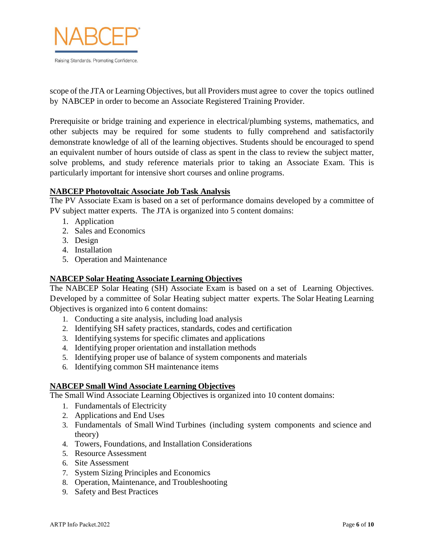

scope of the JTA or Learning Objectives, but all Providers must agree to cover the topics outlined by NABCEP in order to become an Associate Registered Training Provider.

Prerequisite or bridge training and experience in electrical/plumbing systems, mathematics, and other subjects may be required for some students to fully comprehend and satisfactorily demonstrate knowledge of all of the learning objectives. Students should be encouraged to spend an equivalent number of hours outside of class as spent in the class to review the subject matter, solve problems, and study reference materials prior to taking an Associate Exam. This is particularly important for intensive short courses and online programs.

#### <span id="page-5-0"></span>**NABCEP Photovoltaic Associate Job Task Analysis**

The PV Associate Exam is based on a set of performance domains developed by a committee of PV subject matter experts. The JTA is organized into 5 content domains:

- 1. Application
- 2. Sales and Economics
- 3. Design
- 4. Installation
- 5. Operation and Maintenance

#### <span id="page-5-1"></span>**NABCEP Solar Heating Associate Learning Objectives**

The NABCEP Solar Heating (SH) Associate Exam is based on a set of Learning Objectives. Developed by a committee of Solar Heating subject matter experts. The Solar Heating Learning Objectives is organized into 6 content domains:

- 1. Conducting a site analysis, including load analysis
- 2. Identifying SH safety practices, standards, codes and certification
- 3. Identifying systems for specific climates and applications
- 4. Identifying proper orientation and installation methods
- 5. Identifying proper use of balance of system components and materials
- 6. Identifying common SH maintenance items

#### <span id="page-5-2"></span>**NABCEP Small Wind Associate Learning Objectives**

The Small Wind Associate Learning Objectives is organized into 10 content domains:

- 1. Fundamentals of Electricity
- 2. Applications and End Uses
- 3. Fundamentals of Small Wind Turbines (including system components and science and theory)
- 4. Towers, Foundations, and Installation Considerations
- 5. Resource Assessment
- 6. Site Assessment
- 7. System Sizing Principles and Economics
- 8. Operation, Maintenance, and Troubleshooting
- 9. Safety and Best Practices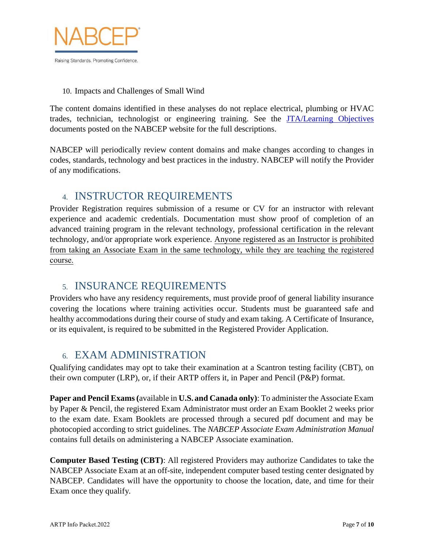

#### 10. Impacts and Challenges of Small Wind

The content domains identified in these analyses do not replace electrical, plumbing or HVAC trades, technician, technologist or engineering training. See the [JTA/Learning Objectives](https://www.nabcep.org/resources/?fwp_resource_facet=associate-jta) documents posted on the NABCEP website for the full descriptions.

NABCEP will periodically review content domains and make changes according to changes in codes, standards, technology and best practices in the industry. NABCEP will notify the Provider of any modifications.

## <span id="page-6-0"></span>4. INSTRUCTOR REQUIREMENTS

Provider Registration requires submission of a resume or CV for an instructor with relevant experience and academic credentials. Documentation must show proof of completion of an advanced training program in the relevant technology, professional certification in the relevant technology, and/or appropriate work experience. Anyone registered as an Instructor is prohibited from taking an Associate Exam in the same technology, while they are teaching the registered course.

## <span id="page-6-1"></span>5. INSURANCE REQUIREMENTS

Providers who have any residency requirements, must provide proof of general liability insurance covering the locations where training activities occur. Students must be guaranteed safe and healthy accommodations during their course of study and exam taking. A Certificate of Insurance, or its equivalent, is required to be submitted in the Registered Provider Application.

## <span id="page-6-2"></span>6. EXAM ADMINISTRATION

Qualifying candidates may opt to take their examination at a Scantron testing facility (CBT), on their own computer (LRP), or, if their ARTP offers it, in Paper and Pencil (P&P) format.

**Paper and Pencil Exams(**available in **U.S. and Canada only)**: To administer the Associate Exam by Paper & Pencil, the registered Exam Administrator must order an Exam Booklet 2 weeks prior to the exam date. Exam Booklets are processed through a secured pdf document and may be photocopied according to strict guidelines. The *NABCEP Associate Exam Administration Manual* contains full details on administering a NABCEP Associate examination.

**Computer Based Testing (CBT)**: All registered Providers may authorize Candidates to take the NABCEP Associate Exam at an off-site, independent computer based testing center designated by NABCEP. Candidates will have the opportunity to choose the location, date, and time for their Exam once they qualify*.*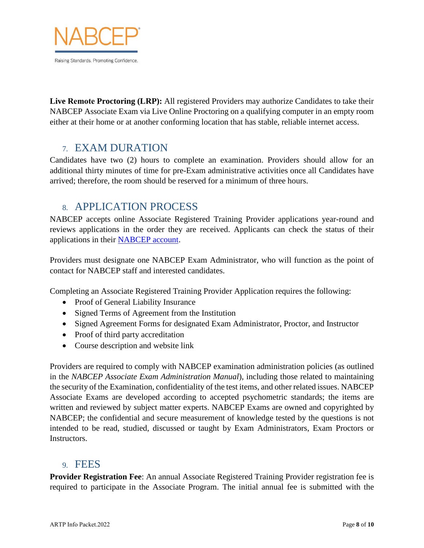

**Live Remote Proctoring (LRP):** All registered Providers may authorize Candidates to take their NABCEP Associate Exam via Live Online Proctoring on a qualifying computer in an empty room either at their home or at another conforming location that has stable, reliable internet access.

#### <span id="page-7-0"></span>7. EXAM DURATION

Candidates have two (2) hours to complete an examination. Providers should allow for an additional thirty minutes of time for pre-Exam administrative activities once all Candidates have arrived; therefore, the room should be reserved for a minimum of three hours.

#### <span id="page-7-1"></span>8. APPLICATION PROCESS

NABCEP accepts online Associate Registered Training Provider applications year-round and reviews applications in the order they are received. Applicants can check the status of their applications in their [NABCEP account.](https://nabcep.certemy.com/entry/login)

Providers must designate one NABCEP Exam Administrator, who will function as the point of contact for NABCEP staff and interested candidates.

Completing an Associate Registered Training Provider Application requires the following:

- Proof of General Liability Insurance
- Signed Terms of Agreement from the Institution
- Signed Agreement Forms for designated Exam Administrator, Proctor, and Instructor
- Proof of third party accreditation
- Course description and website link

Providers are required to comply with NABCEP examination administration policies (as outlined in the *NABCEP Associate Exam Administration Manual*), including those related to maintaining the security of the Examination, confidentiality of the test items, and other related issues. NABCEP Associate Exams are developed according to accepted psychometric standards; the items are written and reviewed by subject matter experts. NABCEP Exams are owned and copyrighted by NABCEP; the confidential and secure measurement of knowledge tested by the questions is not intended to be read, studied, discussed or taught by Exam Administrators, Exam Proctors or Instructors.

#### <span id="page-7-2"></span>9. FEES

**Provider Registration Fee**: An annual Associate Registered Training Provider registration fee is required to participate in the Associate Program. The initial annual fee is submitted with the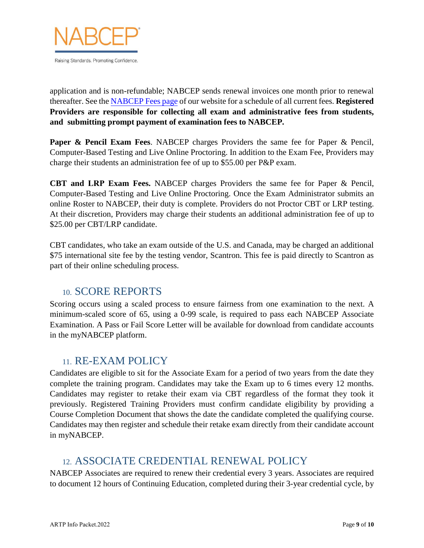

application and is non-refundable; NABCEP sends renewal invoices one month prior to renewal thereafter. See the [NABCEP Fees page](https://www.nabcep.org/certifications/nabcep-fees/) of our website for a schedule of all current fees. **Registered Providers are responsible for collecting all exam and administrative fees from students, and submitting prompt payment of examination fees to NABCEP.**

**Paper & Pencil Exam Fees**. NABCEP charges Providers the same fee for Paper & Pencil, Computer-Based Testing and Live Online Proctoring. In addition to the Exam Fee, Providers may charge their students an administration fee of up to \$55.00 per P&P exam.

**CBT and LRP Exam Fees.** NABCEP charges Providers the same fee for Paper & Pencil, Computer-Based Testing and Live Online Proctoring. Once the Exam Administrator submits an online Roster to NABCEP, their duty is complete. Providers do not Proctor CBT or LRP testing. At their discretion, Providers may charge their students an additional administration fee of up to \$25.00 per CBT/LRP candidate.

CBT candidates, who take an exam outside of the U.S. and Canada, may be charged an additional \$75 international site fee by the testing vendor, Scantron. This fee is paid directly to Scantron as part of their online scheduling process.

#### <span id="page-8-0"></span>10. SCORE REPORTS

Scoring occurs using a scaled process to ensure fairness from one examination to the next. A minimum-scaled score of 65, using a 0-99 scale, is required to pass each NABCEP Associate Examination. A Pass or Fail Score Letter will be available for download from candidate accounts in the myNABCEP platform.

## <span id="page-8-1"></span>11. RE-EXAM POLICY

Candidates are eligible to sit for the Associate Exam for a period of two years from the date they complete the training program. Candidates may take the Exam up to 6 times every 12 months. Candidates may register to retake their exam via CBT regardless of the format they took it previously. Registered Training Providers must confirm candidate eligibility by providing a Course Completion Document that shows the date the candidate completed the qualifying course. Candidates may then register and schedule their retake exam directly from their candidate account in myNABCEP.

## <span id="page-8-2"></span>12. ASSOCIATE CREDENTIAL RENEWAL POLICY

NABCEP Associates are required to renew their credential every 3 years. Associates are required to document 12 hours of Continuing Education, completed during their 3-year credential cycle, by